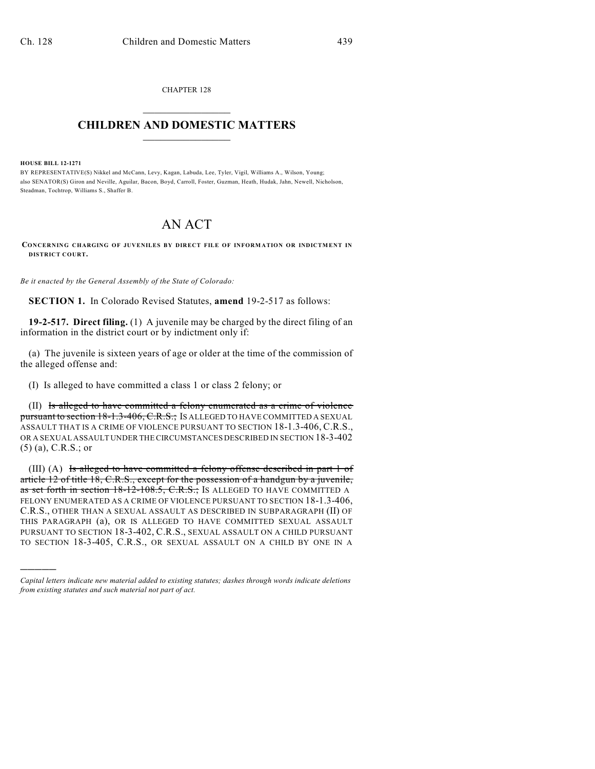CHAPTER 128  $\mathcal{L}_\text{max}$  . The set of the set of the set of the set of the set of the set of the set of the set of the set of the set of the set of the set of the set of the set of the set of the set of the set of the set of the set

## **CHILDREN AND DOMESTIC MATTERS**  $\_$

**HOUSE BILL 12-1271**

)))))

BY REPRESENTATIVE(S) Nikkel and McCann, Levy, Kagan, Labuda, Lee, Tyler, Vigil, Williams A., Wilson, Young; also SENATOR(S) Giron and Neville, Aguilar, Bacon, Boyd, Carroll, Foster, Guzman, Heath, Hudak, Jahn, Newell, Nicholson, Steadman, Tochtrop, Williams S., Shaffer B.

## AN ACT

**CONCERNING CHARGING OF JUVENILES BY DIRECT FILE OF INFORMATION OR INDICTMENT IN DISTRICT COURT.**

*Be it enacted by the General Assembly of the State of Colorado:*

**SECTION 1.** In Colorado Revised Statutes, **amend** 19-2-517 as follows:

**19-2-517. Direct filing.** (1) A juvenile may be charged by the direct filing of an information in the district court or by indictment only if:

(a) The juvenile is sixteen years of age or older at the time of the commission of the alleged offense and:

(I) Is alleged to have committed a class 1 or class 2 felony; or

(II) Is alleged to have committed a felony enumerated as a crime of violence pursuant to section 18-1.3-406, C.R.S.; Is ALLEGED TO HAVE COMMITTED A SEXUAL ASSAULT THAT IS A CRIME OF VIOLENCE PURSUANT TO SECTION 18-1.3-406, C.R.S., OR A SEXUAL ASSAULT UNDER THE CIRCUMSTANCES DESCRIBED IN SECTION 18-3-402 (5) (a), C.R.S.; or

(III) (A) Is alleged to have committed a felony offense described in part 1 of article 12 of title 18, C.R.S., except for the possession of a handgun by a juvenile, as set forth in section 18-12-108.5, C.R.S.; Is ALLEGED TO HAVE COMMITTED A FELONY ENUMERATED AS A CRIME OF VIOLENCE PURSUANT TO SECTION 18-1.3-406, C.R.S., OTHER THAN A SEXUAL ASSAULT AS DESCRIBED IN SUBPARAGRAPH (II) OF THIS PARAGRAPH (a), OR IS ALLEGED TO HAVE COMMITTED SEXUAL ASSAULT PURSUANT TO SECTION 18-3-402, C.R.S., SEXUAL ASSAULT ON A CHILD PURSUANT TO SECTION 18-3-405, C.R.S., OR SEXUAL ASSAULT ON A CHILD BY ONE IN A

*Capital letters indicate new material added to existing statutes; dashes through words indicate deletions from existing statutes and such material not part of act.*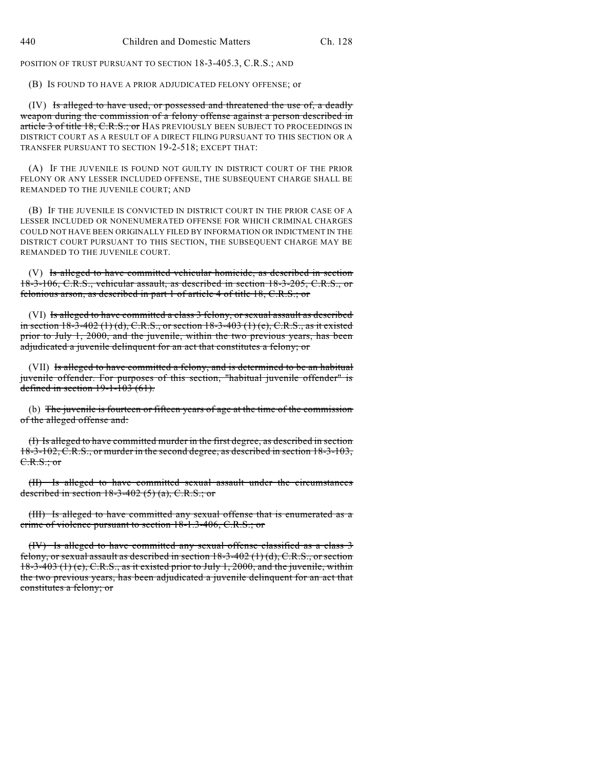POSITION OF TRUST PURSUANT TO SECTION 18-3-405.3, C.R.S.; AND

(B) IS FOUND TO HAVE A PRIOR ADJUDICATED FELONY OFFENSE; or

(IV) Is alleged to have used, or possessed and threatened the use of, a deadly weapon during the commission of a felony offense against a person described in article 3 of title 18, C.R.S.; or HAS PREVIOUSLY BEEN SUBJECT TO PROCEEDINGS IN DISTRICT COURT AS A RESULT OF A DIRECT FILING PURSUANT TO THIS SECTION OR A TRANSFER PURSUANT TO SECTION 19-2-518; EXCEPT THAT:

(A) IF THE JUVENILE IS FOUND NOT GUILTY IN DISTRICT COURT OF THE PRIOR FELONY OR ANY LESSER INCLUDED OFFENSE, THE SUBSEQUENT CHARGE SHALL BE REMANDED TO THE JUVENILE COURT; AND

(B) IF THE JUVENILE IS CONVICTED IN DISTRICT COURT IN THE PRIOR CASE OF A LESSER INCLUDED OR NONENUMERATED OFFENSE FOR WHICH CRIMINAL CHARGES COULD NOT HAVE BEEN ORIGINALLY FILED BY INFORMATION OR INDICTMENT IN THE DISTRICT COURT PURSUANT TO THIS SECTION, THE SUBSEQUENT CHARGE MAY BE REMANDED TO THE JUVENILE COURT.

(V) Is alleged to have committed vehicular homicide, as described in section 18-3-106, C.R.S., vehicular assault, as described in section 18-3-205, C.R.S., or felonious arson, as described in part 1 of article 4 of title 18, C.R.S.; or

(VI) Is alleged to have committed a class 3 felony, or sexual assault as described in section  $18-3-402$  (1) (d), C.R.S., or section  $18-3-403$  (1) (e), C.R.S., as it existed prior to July 1, 2000, and the juvenile, within the two previous years, has been adjudicated a juvenile delinquent for an act that constitutes a felony; or

(VII) Is alleged to have committed a felony, and is determined to be an habitual juvenile offender. For purposes of this section, "habitual juvenile offender" is defined in section  $19-1-103(61)$ .

(b) The juvenile is fourteen or fifteen years of age at the time of the commission of the alleged offense and:

(I) Is alleged to have committed murder in the first degree, as described in section 18-3-102, C.R.S., or murder in the second degree, as described in section 18-3-103, C.R.S.; or

(II) Is alleged to have committed sexual assault under the circumstances described in section  $18-3-402$  (5) (a), C.R.S.; or

(III) Is alleged to have committed any sexual offense that is enumerated as a crime of violence pursuant to section 18-1.3-406, C.R.S.; or

(IV) Is alleged to have committed any sexual offense classified as a class 3 felony, or sexual assault as described in section  $18-3-402$  (1) (d), C.R.S., or section 18-3-403 (1) (e), C.R.S., as it existed prior to July 1, 2000, and the juvenile, within the two previous years, has been adjudicated a juvenile delinquent for an act that constitutes a felony; or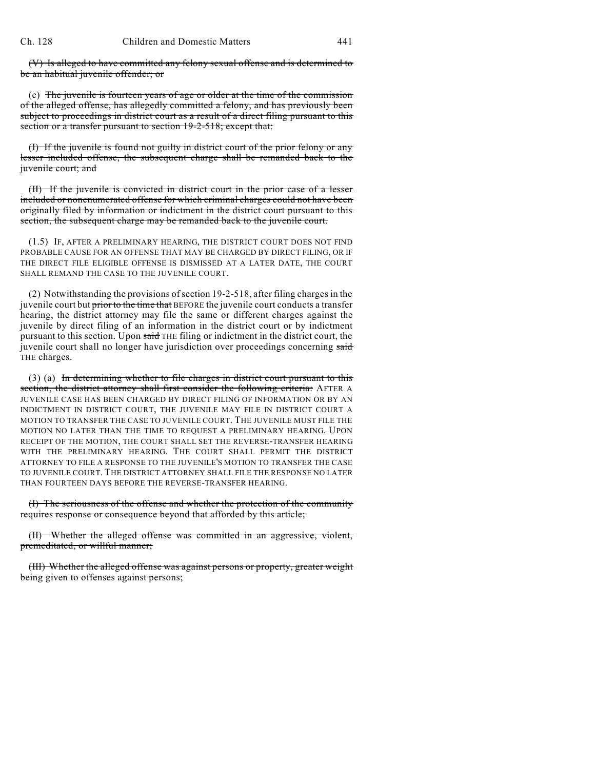(V) Is alleged to have committed any felony sexual offense and is determined to be an habitual juvenile offender; or

(c) The juvenile is fourteen years of age or older at the time of the commission of the alleged offense, has allegedly committed a felony, and has previously been subject to proceedings in district court as a result of a direct filing pursuant to this section or a transfer pursuant to section 19-2-518; except that:

(I) If the juvenile is found not guilty in district court of the prior felony or any lesser included offense, the subsequent charge shall be remanded back to the juvenile court; and

(II) If the juvenile is convicted in district court in the prior case of a lesser included or nonenumerated offense for which criminal charges could not have been originally filed by information or indictment in the district court pursuant to this section, the subsequent charge may be remanded back to the juvenile court.

(1.5) IF, AFTER A PRELIMINARY HEARING, THE DISTRICT COURT DOES NOT FIND PROBABLE CAUSE FOR AN OFFENSE THAT MAY BE CHARGED BY DIRECT FILING, OR IF THE DIRECT FILE ELIGIBLE OFFENSE IS DISMISSED AT A LATER DATE, THE COURT SHALL REMAND THE CASE TO THE JUVENILE COURT.

(2) Notwithstanding the provisions ofsection 19-2-518, after filing charges in the juvenile court but prior to the time that BEFORE the juvenile court conducts a transfer hearing, the district attorney may file the same or different charges against the juvenile by direct filing of an information in the district court or by indictment pursuant to this section. Upon said THE filing or indictment in the district court, the juvenile court shall no longer have jurisdiction over proceedings concerning said THE charges.

(3) (a) In determining whether to file charges in district court pursuant to this section, the district attorney shall first consider the following criteria: AFTER A JUVENILE CASE HAS BEEN CHARGED BY DIRECT FILING OF INFORMATION OR BY AN INDICTMENT IN DISTRICT COURT, THE JUVENILE MAY FILE IN DISTRICT COURT A MOTION TO TRANSFER THE CASE TO JUVENILE COURT. THE JUVENILE MUST FILE THE MOTION NO LATER THAN THE TIME TO REQUEST A PRELIMINARY HEARING. UPON RECEIPT OF THE MOTION, THE COURT SHALL SET THE REVERSE-TRANSFER HEARING WITH THE PRELIMINARY HEARING. THE COURT SHALL PERMIT THE DISTRICT ATTORNEY TO FILE A RESPONSE TO THE JUVENILE'S MOTION TO TRANSFER THE CASE TO JUVENILE COURT. THE DISTRICT ATTORNEY SHALL FILE THE RESPONSE NO LATER THAN FOURTEEN DAYS BEFORE THE REVERSE-TRANSFER HEARING.

(I) The seriousness of the offense and whether the protection of the community requires response or consequence beyond that afforded by this article;

(II) Whether the alleged offense was committed in an aggressive, violent, premeditated, or willful manner;

(III) Whether the alleged offense was against persons or property, greater weight being given to offenses against persons;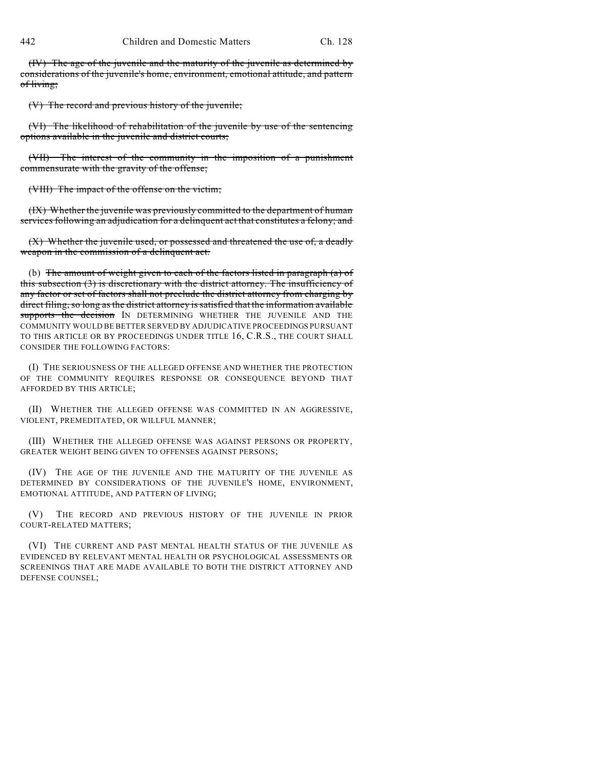(IV) The age of the juvenile and the maturity of the juvenile as determined by considerations of the juvenile's home, environment, emotional attitude, and pattern of living;

(V) The record and previous history of the juvenile;

(VI) The likelihood of rehabilitation of the juvenile by use of the sentencing options available in the juvenile and district courts;

(VII) The interest of the community in the imposition of a punishment commensurate with the gravity of the offense;

(VIII) The impact of the offense on the victim;

(IX) Whether the juvenile was previously committed to the department of human services following an adjudication for a delinquent act that constitutes a felony; and

(X) Whether the juvenile used, or possessed and threatened the use of, a deadly weapon in the commission of a delinquent act.

(b) The amount of weight given to each of the factors listed in paragraph (a) of this subsection (3) is discretionary with the district attorney. The insufficiency of any factor or set of factors shall not preclude the district attorney from charging by direct filing, so long as the district attorney issatisfied that the information available supports the decision IN DETERMINING WHETHER THE JUVENILE AND THE COMMUNITY WOULD BE BETTER SERVED BY ADJUDICATIVE PROCEEDINGS PURSUANT TO THIS ARTICLE OR BY PROCEEDINGS UNDER TITLE 16, C.R.S., THE COURT SHALL CONSIDER THE FOLLOWING FACTORS:

(I) THE SERIOUSNESS OF THE ALLEGED OFFENSE AND WHETHER THE PROTECTION OF THE COMMUNITY REQUIRES RESPONSE OR CONSEQUENCE BEYOND THAT AFFORDED BY THIS ARTICLE;

(II) WHETHER THE ALLEGED OFFENSE WAS COMMITTED IN AN AGGRESSIVE, VIOLENT, PREMEDITATED, OR WILLFUL MANNER;

(III) WHETHER THE ALLEGED OFFENSE WAS AGAINST PERSONS OR PROPERTY, GREATER WEIGHT BEING GIVEN TO OFFENSES AGAINST PERSONS;

(IV) THE AGE OF THE JUVENILE AND THE MATURITY OF THE JUVENILE AS DETERMINED BY CONSIDERATIONS OF THE JUVENILE'S HOME, ENVIRONMENT, EMOTIONAL ATTITUDE, AND PATTERN OF LIVING;

(V) THE RECORD AND PREVIOUS HISTORY OF THE JUVENILE IN PRIOR COURT-RELATED MATTERS;

(VI) THE CURRENT AND PAST MENTAL HEALTH STATUS OF THE JUVENILE AS EVIDENCED BY RELEVANT MENTAL HEALTH OR PSYCHOLOGICAL ASSESSMENTS OR SCREENINGS THAT ARE MADE AVAILABLE TO BOTH THE DISTRICT ATTORNEY AND DEFENSE COUNSEL;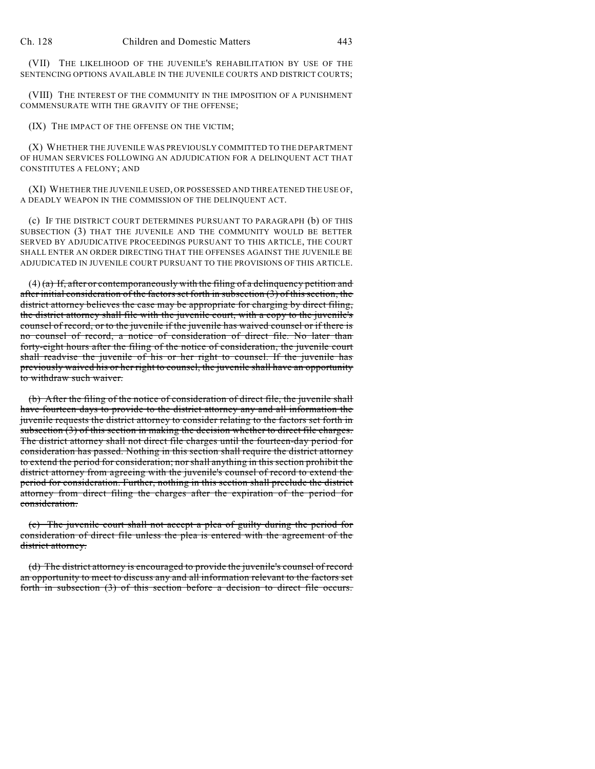(VII) THE LIKELIHOOD OF THE JUVENILE'S REHABILITATION BY USE OF THE SENTENCING OPTIONS AVAILABLE IN THE JUVENILE COURTS AND DISTRICT COURTS;

(VIII) THE INTEREST OF THE COMMUNITY IN THE IMPOSITION OF A PUNISHMENT COMMENSURATE WITH THE GRAVITY OF THE OFFENSE;

(IX) THE IMPACT OF THE OFFENSE ON THE VICTIM;

(X) WHETHER THE JUVENILE WAS PREVIOUSLY COMMITTED TO THE DEPARTMENT OF HUMAN SERVICES FOLLOWING AN ADJUDICATION FOR A DELINQUENT ACT THAT CONSTITUTES A FELONY; AND

(XI) WHETHER THE JUVENILE USED, OR POSSESSED AND THREATENED THE USE OF, A DEADLY WEAPON IN THE COMMISSION OF THE DELINQUENT ACT.

(c) IF THE DISTRICT COURT DETERMINES PURSUANT TO PARAGRAPH (b) OF THIS SUBSECTION (3) THAT THE JUVENILE AND THE COMMUNITY WOULD BE BETTER SERVED BY ADJUDICATIVE PROCEEDINGS PURSUANT TO THIS ARTICLE, THE COURT SHALL ENTER AN ORDER DIRECTING THAT THE OFFENSES AGAINST THE JUVENILE BE ADJUDICATED IN JUVENILE COURT PURSUANT TO THE PROVISIONS OF THIS ARTICLE.

 $(4)$  (a) If, after or contemporaneously with the filing of a delinquency petition and after initial consideration of the factors set forth in subsection (3) of this section, the district attorney believes the case may be appropriate for charging by direct filing, the district attorney shall file with the juvenile court, with a copy to the juvenile's counsel of record, or to the juvenile if the juvenile has waived counsel or if there is no counsel of record, a notice of consideration of direct file. No later than forty-eight hours after the filing of the notice of consideration, the juvenile court shall readvise the juvenile of his or her right to counsel. If the juvenile has previously waived his or her right to counsel, the juvenile shall have an opportunity to withdraw such waiver.

(b) After the filing of the notice of consideration of direct file, the juvenile shall have fourteen days to provide to the district attorney any and all information the juvenile requests the district attorney to consider relating to the factors set forth in subsection (3) of this section in making the decision whether to direct file charges. The district attorney shall not direct file charges until the fourteen-day period for consideration has passed. Nothing in this section shall require the district attorney to extend the period for consideration; nor shall anything in this section prohibit the district attorney from agreeing with the juvenile's counsel of record to extend the period for consideration. Further, nothing in this section shall preclude the district attorney from direct filing the charges after the expiration of the period for consideration.

(c) The juvenile court shall not accept a plea of guilty during the period for consideration of direct file unless the plea is entered with the agreement of the district attorney.

(d) The district attorney is encouraged to provide the juvenile's counsel of record an opportunity to meet to discuss any and all information relevant to the factors set forth in subsection (3) of this section before a decision to direct file occurs.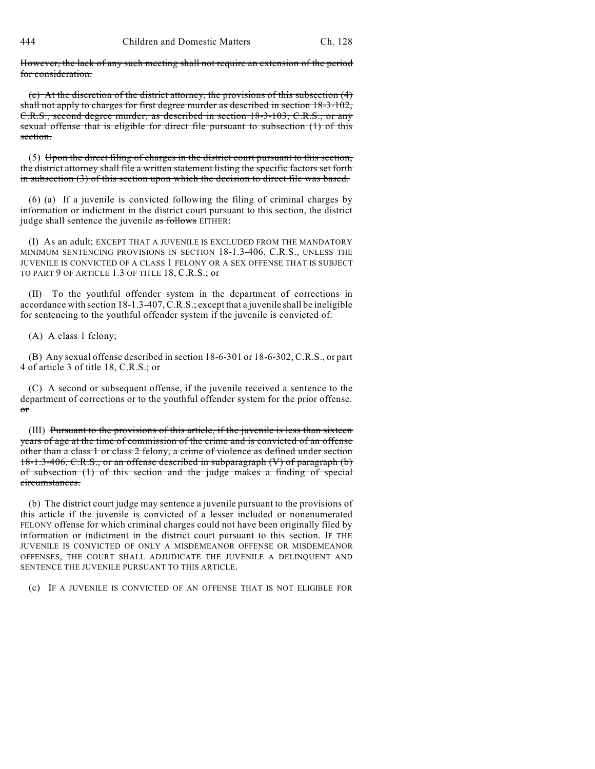However, the lack of any such meeting shall not require an extension of the period for consideration.

(e) At the discretion of the district attorney, the provisions of this subsection (4) shall not apply to charges for first degree murder as described in section 18-3-102, C.R.S., second degree murder, as described in section 18-3-103, C.R.S., or any sexual offense that is eligible for direct file pursuant to subsection (1) of this section.

(5) Upon the direct filing of charges in the district court pursuant to this section, the district attorney shall file a written statement listing the specific factors set forth in subsection (3) of this section upon which the decision to direct file was based.

(6) (a) If a juvenile is convicted following the filing of criminal charges by information or indictment in the district court pursuant to this section, the district judge shall sentence the juvenile as follows EITHER:

(I) As an adult; EXCEPT THAT A JUVENILE IS EXCLUDED FROM THE MANDATORY MINIMUM SENTENCING PROVISIONS IN SECTION 18-1.3-406, C.R.S., UNLESS THE JUVENILE IS CONVICTED OF A CLASS 1 FELONY OR A SEX OFFENSE THAT IS SUBJECT TO PART 9 OF ARTICLE 1.3 OF TITLE 18, C.R.S.; or

(II) To the youthful offender system in the department of corrections in accordance with section 18-1.3-407,C.R.S.; except that a juvenile shall be ineligible for sentencing to the youthful offender system if the juvenile is convicted of:

(A) A class 1 felony;

(B) Any sexual offense described in section 18-6-301 or 18-6-302, C.R.S., or part 4 of article 3 of title 18, C.R.S.; or

(C) A second or subsequent offense, if the juvenile received a sentence to the department of corrections or to the youthful offender system for the prior offense. or

(III) Pursuant to the provisions of this article, if the juvenile is less than sixteen years of age at the time of commission of the crime and is convicted of an offense other than a class 1 or class 2 felony, a crime of violence as defined under section 18-1.3-406, C.R.S., or an offense described in subparagraph (V) of paragraph (b) of subsection (1) of this section and the judge makes a finding of special circumstances.

(b) The district court judge may sentence a juvenile pursuant to the provisions of this article if the juvenile is convicted of a lesser included or nonenumerated FELONY offense for which criminal charges could not have been originally filed by information or indictment in the district court pursuant to this section. IF THE JUVENILE IS CONVICTED OF ONLY A MISDEMEANOR OFFENSE OR MISDEMEANOR OFFENSES, THE COURT SHALL ADJUDICATE THE JUVENILE A DELINQUENT AND SENTENCE THE JUVENILE PURSUANT TO THIS ARTICLE.

(c) IF A JUVENILE IS CONVICTED OF AN OFFENSE THAT IS NOT ELIGIBLE FOR